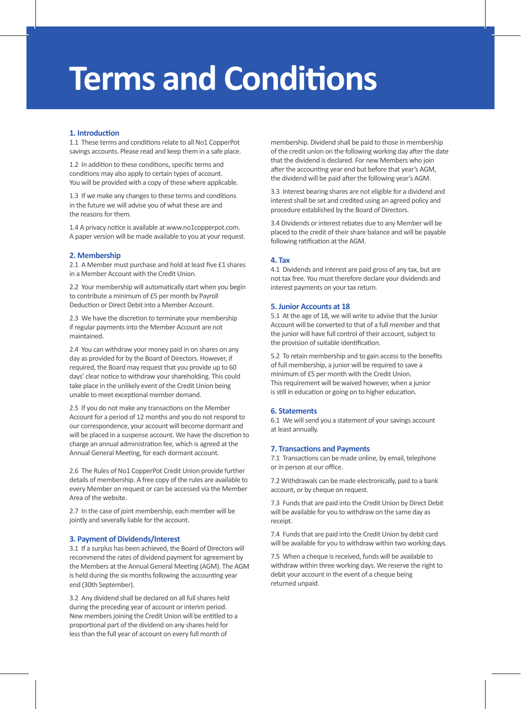# **Terms and Conditions**

# 1. Introduction

1.1 These terms and conditions relate to all No1 CopperPot savings accounts. Please read and keep them in a safe place.

1.2 In addition to these conditions, specific terms and conditions may also apply to certain types of account. You will be provided with a copy of these where applicable.

1.3 If we make any changes to these terms and conditions in the future we will advise you of what these are and the reasons for them.

1.4 A privacy notice is available at www.no1copperpot.com. A paper version will be made available to you at your request.

## **2. Membership**

2.1 A Member must purchase and hold at least five £1 shares in a Member Account with the Credit Union.

2.2 Your membership will automatically start when you begin to contribute a minimum of £5 per month by Payroll Deduction or Direct Debit into a Member Account.

2.3 We have the discretion to terminate your membership if regular payments into the Member Account are not maintained.

2.4 You can withdraw your money paid in on shares on any day as provided for by the Board of Directors. However, if required, the Board may request that you provide up to 60 days' clear notice to withdraw your shareholding. This could take place in the unlikely event of the Credit Union being unable to meet exceptional member demand.

2.5 If you do not make any transactions on the Member Account for a period of 12 months and you do not respond to our correspondence, your account will become dormant and will be placed in a suspense account. We have the discretion to charge an annual administration fee, which is agreed at the Annual General Meeting, for each dormant account.

2.6 The Rules of No1 CopperPot Credit Union provide further details of membership. A free copy of the rules are available to every Member on request or can be accessed via the Member Area of the website.

2.7 In the case of joint membership, each member will be jointly and severally liable for the account.

# **3. Payment of Dividends/Interest**

3.1 If a surplus has been achieved, the Board of Directors will recommend the rates of dividend payment for agreement by the Members at the Annual General Meeting (AGM). The AGM is held during the six months following the accounting year end (30th September).

3.2 Any dividend shall be declared on all full shares held during the preceding year of account or interim period. New members joining the Credit Union will be entitled to a proportional part of the dividend on any shares held for less than the full year of account on every full month of

membership. Dividend shall be paid to those in membership of the credit union on the following working day after the date that the dividend is declared. For new Members who join after the accounting year end but before that year's AGM, the dividend will be paid a�er the following year's AGM.

3.3 Interest bearing shares are not eligible for a dividend and interest shall be set and credited using an agreed policy and procedure established by the Board of Directors.

3.4 Dividends or interest rebates due to any Member will be placed to the credit of their share balance and will be payable following ratification at the AGM.

# **4. Tax**

4.1 Dividends and interest are paid gross of any tax, but are not tax free. You must therefore declare your dividends and interest payments on your tax return.

#### **5. Junior Accounts at 18**

5.1 At the age of 18, we will write to advise that the Junior Account will be converted to that of a full member and that the junior will have full control of their account, subject to the provision of suitable identification.

5.2 To retain membership and to gain access to the benefits of full membership, a junior will be required to save a minimum of £5 per month with the Credit Union. This requirement will be waived however, when a junior is still in education or going on to higher education.

# **6. Statements**

6.1 We will send you a statement of your savings account at least annually.

## **7. Transactions and Payments**

7.1 Transactions can be made online, by email, telephone or in person at our office.

7.2 Withdrawals can be made electronically, paid to a bank account, or by cheque on request.

7.3 Funds that are paid into the Credit Union by Direct Debit will be available for you to withdraw on the same day as receipt.

7.4 Funds that are paid into the Credit Union by debit card will be available for you to withdraw within two working days.

7.5 When a cheque is received, funds will be available to withdraw within three working days. We reserve the right to debit your account in the event of a cheque being returned unpaid.